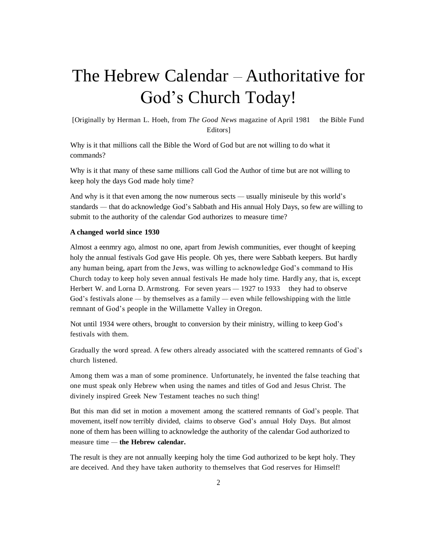# The Hebrew Calendar - Authoritative for God's Church Today!

[Originally by Herman L. Hoeh, from *The Good News* magazine of April 1981 the Bible Fund Editors]

Why is it that millions call the Bible the Word of God but are not willing to do what it commands?

Why is it that many of these same millions call God the Author of time but are not willing to keep holy the days God made holy time?

And why is it that even among the now numerous sects — usually miniseule by this world's standards — that do acknowledge God's Sabbath and His annual Holy Days, so few are willing to submit to the authority of the calendar God authorizes to measure time?

## **A changed world since 1930**

Almost a eenmry ago, almost no one, apart from Jewish communities, ever thought of keeping holy the annual festivals God gave His people. Oh yes, there were Sabbath keepers. But hardly any human being, apart from the Jews, was willing to acknowledge God's command to His Church today to keep holy seven annual festivals He made holy time. Hardly any, that is, except Herbert W. and Lorna D. Armstrong. For seven years — 1927 to 1933 they had to observe God's festivals alone — by themselves as a family — even while fellowshipping with the little remnant of God's people in the Willamette Valley in Oregon.

Not until 1934 were others, brought to conversion by their ministry, willing to keep God's festivals with them.

Gradually the word spread. A few others already associated with the scattered remnants of God's church listened.

Among them was a man of some prominence. Unfortunately, he invented the false teaching that one must speak only Hebrew when using the names and titles of God and Jesus Christ. The divinely inspired Greek New Testament teaches no such thing!

But this man did set in motion a movement among the scattered remnants of God's people. That movement, itself now terribly divided, claims to observe God's annual Holy Days. But almost none of them has been willing to acknowledge the authority of the calendar God authorized to measure time — **the Hebrew calendar.**

The result is they are not annually keeping holy the time God authorized to be kept holy. They are deceived. And they have taken authority to themselves that God reserves for Himself!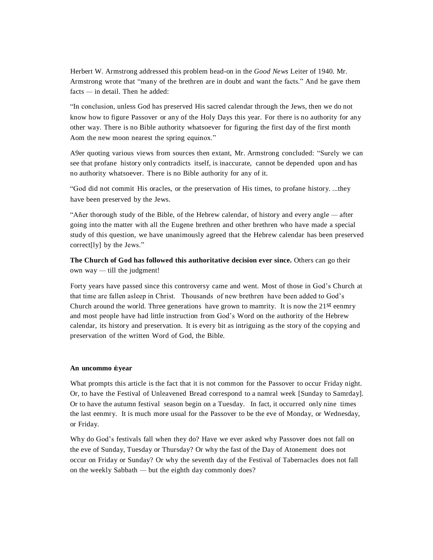Herbert W. Armstrong addressed this problem head-on in the *Good News* Leiter of 1940. Mr. Armstrong wrote that "many of the brethren are in doubt and want the facts." And he gave them facts — in detail. Then he added:

"In conclusion, unless God has preserved His sacred calendar through the Jews, then we do not know how to figure Passover or any of the Holy Days this year. For there is no authority for any other way. There is no Bible authority whatsoever for figuring the first day of the first month Aom the new moon nearest the spring equinox."

A9er quoting various views from sources then extant, Mr. Armstrong concluded: "Surely we can see that profane history only contradicts itself, is inaccurate, cannot be depended upon and has no authority whatsoever. There is no Bible authority for any of it.

"God did not commit His oracles, or the preservation of His times, to profane history. ...they have been preserved by the Jews.

"Añer thorough study of the Bible, of the Hebrew calendar, of history and every angle — after going into the matter with all the Eugene brethren and other brethren who have made a special study of this question, we have unanimously agreed that the Hebrew calendar has been preserved correct[ly] by the Jews."

**The Church of God has followed this authoritative decision ever since.** Others can go their own way — till the judgment!

Forty years have passed since this controversy came and went. Most of those in God's Church at that time are fallen asleep in Christ. Thousands of new brethren have been added to God's Church around the world. Three generations have grown to mamrity. It is now the 21st eenmry and most people have had little instruction from God's Word on the authority of the Hebrew calendar, its history and preservation. It is every bit as intriguing as the story of the copying and preservation of the written Word of God, the Bible.

#### **An uncommo i year**

What prompts this article is the fact that it is not common for the Passover to occur Friday night. Or, to have the Festival of Unleavened Bread correspond to a namral week [Sunday to Samrday]. Or to have the autumn festival season begin on a Tuesday. In fact, it occurred only nine times the last eenmry. It is much more usual for the Passover to be the eve of Monday, or Wednesday, or Friday.

Why do God's festivals fall when they do? Have we ever asked why Passover does not fall on the eve of Sunday, Tuesday or Thursday? Or why the fast of the Day of Atonement does not occur on Friday or Sunday? Or why the seventh day of the Festival of Tabernacles does not fall on the weekly Sabbath — but the eighth day commonly does?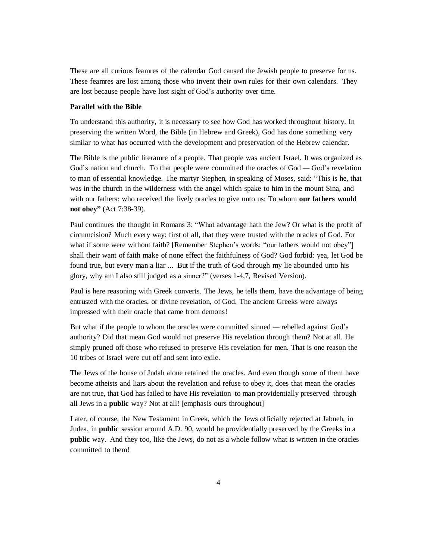These are all curious feamres of the calendar God caused the Jewish people to preserve for us. These feamres are lost among those who invent their own rules for their own calendars. They are lost because people have lost sight of God's authority over time.

## **Parallel with the Bible**

To understand this authority, it is necessary to see how God has worked throughout history. In preserving the written Word, the Bible (in Hebrew and Greek), God has done something very similar to what has occurred with the development and preservation of the Hebrew calendar.

The Bible is the public literamre of a people. That people was ancient Israel. It was organized as God's nation and church. To that people were committed the oracles of God — God's revelation to man of essential knowledge. The martyr Stephen, in speaking of Moses, said: "This is he, that was in the church in the wilderness with the angel which spake to him in the mount Sina, and with our fathers: who received the lively oracles to give unto us: To whom **our fathers would not obey"** (Act 7:38-39).

Paul continues the thought in Romans 3: "What advantage hath the Jew? Or what is the profit of circumcision? Much every way: first of all, that they were trusted with the oracles of God. For what if some were without faith? [Remember Stephen's words: "our fathers would not obey"] shall their want of faith make of none effect the faithfulness of God? God forbid: yea, let God be found true, but every man a liar ... But if the truth of God through my lie abounded unto his glory, why am I also still judged as a sinner?" (verses 1-4,7, Revised Version).

Paul is here reasoning with Greek converts. The Jews, he tells them, have the advantage of being entrusted with the oracles, or divine revelation, of God. The ancient Greeks were always impressed with their oracle that came from demons!

But what if the people to whom the oracles were committed sinned — rebelled against God's authority? Did that mean God would not preserve His revelation through them? Not at all. He simply pruned off those who refused to preserve His revelation for men. That is one reason the 10 tribes of Israel were cut off and sent into exile.

The Jews of the house of Judah alone retained the oracles. And even though some of them have become atheists and liars about the revelation and refuse to obey it, does that mean the oracles are not true, that God has failed to have His revelation to man providentially preserved through all Jews in a **public** way? Not at all! [emphasis ours throughout]

Later, of course, the New Testament in Greek, which the Jews officially rejected at Jabneh, in Judea, in **public** session around A.D. 90, would be providentially preserved by the Greeks in a **public** way. And they too, like the Jews, do not as a whole follow what is written in the oracles committed to them!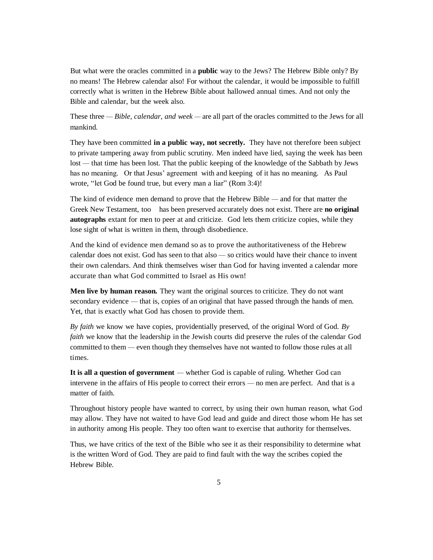But what were the oracles committed in a **public** way to the Jews? The Hebrew Bible only? By no means! The Hebrew calendar also! For without the calendar, it would be impossible to fulfill correctly what is written in the Hebrew Bible about hallowed annual times. And not only the Bible and calendar, but the week also.

These three — *Bible, calendar, and week —* are all part of the oracles committed to the Jews for all mankind.

They have been committed **in a public way, not secretly.** They have not therefore been subject to private tampering away from public scrutiny. Men indeed have lied, saying the week has been lost — that time has been lost. That the public keeping of the knowledge of the Sabbath by Jews has no meaning. Or that Jesus' agreement with and keeping of it has no meaning. As Paul wrote, "let God be found true, but every man a liar" (Rom 3:4)!

The kind of evidence men demand to prove that the Hebrew Bible — and for that matter the Greek New Testament, too has been preserved accurately does not exist. There are **no original autographs** extant for men to peer at and criticize. God lets them criticize copies, while they lose sight of what is written in them, through disobedience.

And the kind of evidence men demand so as to prove the authoritativeness of the Hebrew calendar does not exist. God has seen to that also — so critics would have their chance to invent their own calendars. And think themselves wiser than God for having invented a calendar more accurate than what God committed to Israel as His own!

**Men live by human reason.** They want the original sources to criticize. They do not want secondary evidence — that is, copies of an original that have passed through the hands of men. Yet, that is exactly what God has chosen to provide them.

*By faith* we know we have copies, providentially preserved, of the original Word of God. *By faith* we know that the leadership in the Jewish courts did preserve the rules of the calendar God committed to them — even though they themselves have not wanted to follow those rules at all times.

**It is all a question of government** — whether God is capable of ruling. Whether God can intervene in the affairs of His people to correct their errors — no men are perfect. And that is a matter of faith.

Throughout history people have wanted to correct, by using their own human reason, what God may allow. They have not waited to have God lead and guide and direct those whom He has set in authority among His people. They too often want to exercise that authority for themselves.

Thus, we have critics of the text of the Bible who see it as their responsibility to determine what is the written Word of God. They are paid to find fault with the way the scribes copied the Hebrew Bible.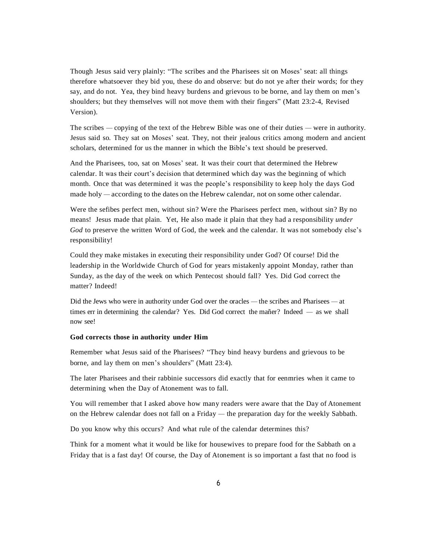Though Jesus said very plainly: "The scribes and the Pharisees sit on Moses' seat: all things therefore whatsoever they bid you, these do and observe: but do not ye after their words; for they say, and do not. Yea, they bind heavy burdens and grievous to be borne, and lay them on men's shoulders; but they themselves will not move them with their fingers" (Matt 23:2-4, Revised Version).

The scribes — copying of the text of the Hebrew Bible was one of their duties — were in authority. Jesus said so. They sat on Moses' seat. They, not their jealous critics among modern and ancient scholars, determined for us the manner in which the Bible's text should be preserved.

And the Pharisees, too, sat on Moses' seat. It was their court that determined the Hebrew calendar. It was their court's decision that determined which day was the beginning of which month. Once that was determined it was the people's responsibility to keep holy the days God made holy — according to the dates on the Hebrew calendar, not on some other calendar.

Were the sefibes perfect men, without sin? Were the Pharisees perfect men, without sin? By no means! Jesus made that plain. Yet, He also made it plain that they had a responsibility *under God* to preserve the written Word of God, the week and the calendar. It was not somebody else's responsibility!

Could they make mistakes in executing their responsibility under God? Of course! Did the leadership in the Worldwide Church of God for years mistakenly appoint Monday, rather than Sunday, as the day of the week on which Pentecost should fall? Yes. Did God correct the matter? Indeed!

Did the Jews who were in authority under God over the oracles — the scribes and Pharisees — at times err in determining the calendar? Yes. Did God correct the mañer? Indeed — as we shall now see!

#### **God corrects those in authority under Him**

Remember what Jesus said of the Pharisees? "They bind heavy burdens and grievous to be borne, and lay them on men's shoulders" (Matt 23:4).

The later Pharisees and their rabbinie successors did exactly that for eenmries when it came to determining when the Day of Atonement was to fall.

You will remember that I asked above how many readers were aware that the Day of Atonement on the Hebrew calendar does not fall on a Friday — the preparation day for the weekly Sabbath.

Do you know why this occurs? And what rule of the calendar determines this?

Think for a moment what it would be like for housewives to prepare food for the Sabbath on a Friday that is a fast day! Of course, the Day of Atonement is so important a fast that no food is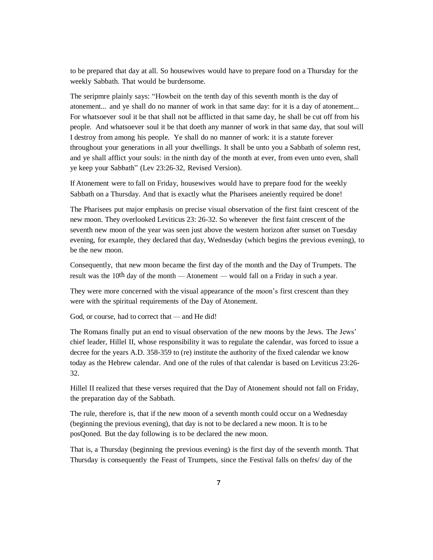to be prepared that day at all. So housewives would have to prepare food on a Thursday for the weekly Sabbath. That would be burdensome.

The seripmre plainly says: "Howbeit on the tenth day of this seventh month is the day of atonement... and ye shall do no manner of work in that same day: for it is a day of atonement... For whatsoever soul it be that shall not be afflicted in that same day, he shall be cut off from his people. And whatsoever soul it be that doeth any manner of work in that same day, that soul will I destroy from among his people. Ye shall do no manner of work: it is a statute forever throughout your generations in all your dwellings. It shall be unto you a Sabbath of solemn rest, and ye shall afflict your souls: in the ninth day of the month at ever, from even unto even, shall ye keep your Sabbath" (Lev 23:26-32, Revised Version).

If Atonement were to fall on Friday, housewives would have to prepare food for the weekly Sabbath on a Thursday. And that is exactly what the Pharisees aneiently required be done!

The Pharisees put major emphasis on precise visual observation of the first faint crescent of the new moon. They overlooked Leviticus 23: 26-32. So whenever the first faint crescent of the seventh new moon of the year was seen just above the western horizon after sunset on Tuesday evening, for example, they declared that day, Wednesday (which begins the previous evening), to be the new moon.

Consequently, that new moon became the first day of the month and the Day of Trumpets. The result was the 10th day of the month — Atonement — would fall on a Friday in such a year.

They were more concerned with the visual appearance of the moon's first crescent than they were with the spiritual requirements of the Day of Atonement.

God, or course, had to correct that — and He did!

The Romans finally put an end to visual observation of the new moons by the Jews. The Jews' chief leader, Hillel II, whose responsibility it was to regulate the calendar, was forced to issue a decree for the years A.D. 358-359 to (re) institute the authority of the fixed calendar we know today as the Hebrew calendar. And one of the rules of that calendar is based on Leviticus 23:26- 32.

Hillel II realized that these verses required that the Day of Atonement should not fall on Friday, the preparation day of the Sabbath.

The rule, therefore is, that if the new moon of a seventh month could occur on a Wednesday (beginning the previous evening), that day is not to be declared a new moon. It is to be posQoned. But the day following is to be declared the new moon.

That is, a Thursday (beginning the previous evening) is the first day of the seventh month. That Thursday is consequently the Feast of Trumpets, since the Festival falls on thefrs/ day of the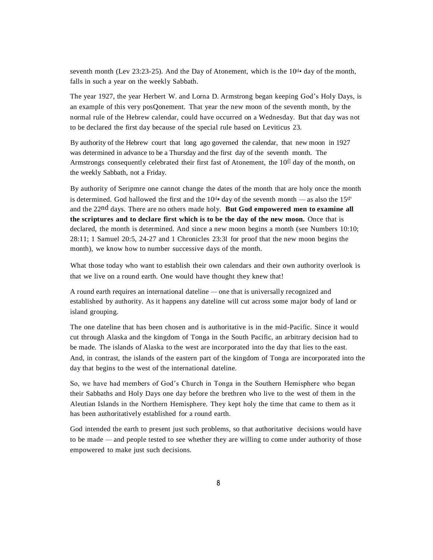seventh month (Lev 23:23-25). And the Day of Atonement, which is the  $10^{t}$  day of the month, falls in such a year on the weekly Sabbath.

The year 1927, the year Herbert W. and Lorna D. Armstrong began keeping God's Holy Days, is an example of this very posQonement. That year the new moon of the seventh month, by the normal rule of the Hebrew calendar, could have occurred on a Wednesday. But that day was not to be declared the first day because of the special rule based on Leviticus 23.

By authority of the Hebrew court that long ago governed the calendar, that new moon in 1927 was determined in advance to be a Thursday and the first day of the seventh month. The Armstrongs consequently celebrated their first fast of Atonement, the 10<sup>tll</sup> day of the month, on the weekly Sabbath, not a Friday.

By authority of Seripmre one cannot change the dates of the month that are holy once the month is determined. God hallowed the first and the  $10^{t} \cdot \text{day}$  of the seventh month — as also the  $15^{t}$ and the 22nd days. There are no others made holy. **But God empowered men to examine all the scriptures and to declare first which is to be the day of the new moon.** Once that is declared, the month is determined. And since a new moon begins a month (see Numbers 10:10; 28:11; 1 Samuel 20:5, 24-27 and 1 Chronicles 23:3l for proof that the new moon begins the month), we know how to number successive days of the month.

What those today who want to establish their own calendars and their own authority overlook is that we live on a round earth. One would have thought they knew that!

A round earth requires an international dateline — one that is universally recognized and established by authority. As it happens any dateline will cut across some major body of land or island grouping.

The one dateline that has been chosen and is authoritative is in the mid-Pacific. Since it would cut through Alaska and the kingdom of Tonga in the South Pacific, an arbitrary decision had to be made. The islands of Alaska to the west are incorporated into the day that lies to the east. And, in contrast, the islands of the eastern part of the kingdom of Tonga are incorporated into the day that begins to the west of the international dateline.

So, we have had members of God's Church in Tonga in the Southern Hemisphere who began their Sabbaths and Holy Days one day before the brethren who live to the west of them in the Aleutian Islands in the Northern Hemisphere. They kept holy the time that came to them as it has been authoritatively established for a round earth.

God intended the earth to present just such problems, so that authoritative decisions would have to be made — and people tested to see whether they are willing to come under authority of those empowered to make just such decisions.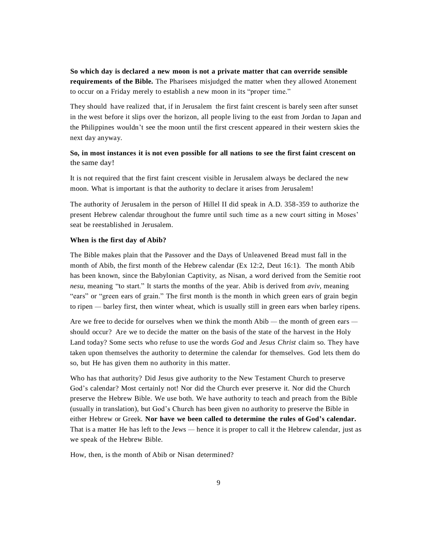**So which day is declared a new moon is not a private matter that can override sensible requirements of the Bible.** The Pharisees misjudged the matter when they allowed Atonement to occur on a Friday merely to establish a new moon in its "proper time."

They should have realized that, if in Jerusalem the first faint crescent is barely seen after sunset in the west before it slips over the horizon, all people living to the east from Jordan to Japan and the Philippines wouldn't see the moon until the first crescent appeared in their western skies the next day anyway.

## **So, in most instances it is not even possible for all nations to see the first faint crescent on** the same day!

It is not required that the first faint crescent visible in Jerusalem always be declared the new moon. What is important is that the authority to declare it arises from Jerusalem!

The authority of Jerusalem in the person of Hillel II did speak in A.D. 358-359 to authorize the present Hebrew calendar throughout the fumre until such time as a new court sitting in Moses' seat be reestablished in Jerusalem.

### **When is the first day of Abib?**

The Bible makes plain that the Passover and the Days of Unleavened Bread must fall in the month of Abib, the first month of the Hebrew calendar (Ex 12:2, Deut 16:1). The month Abib has been known, since the Babylonian Captivity, as Nisan, a word derived from the Semitie root *nesu,* meaning "to start." It starts the months of the year. Abib is derived from *aviv,* meaning "ears" or "green ears of grain." The first month is the month in which green ears of grain begin to ripen — barley first, then winter wheat, which is usually still in green ears when barley ripens.

Are we free to decide for ourselves when we think the month Abib — the month of green ears should occur? Are we to decide the matter on the basis of the state of the harvest in the Holy Land today? Some sects who refuse to use the words *God* and *Jesus Christ* claim so. They have taken upon themselves the authority to determine the calendar for themselves. God lets them do so, but He has given them no authority in this matter.

Who has that authority? Did Jesus give authority to the New Testament Church to preserve God's calendar? Most certainly not! Nor did the Church ever preserve it. Nor did the Church preserve the Hebrew Bible. We use both. We have authority to teach and preach from the Bible (usually in translation), but God's Church has been given no authority to preserve the Bible in either Hebrew or Greek. **Nor have we been called to determine the rules of God's calendar.** That is a matter He has left to the Jews — hence it is proper to call it the Hebrew calendar, just as we speak of the Hebrew Bible.

How, then, is the month of Abib or Nisan determined?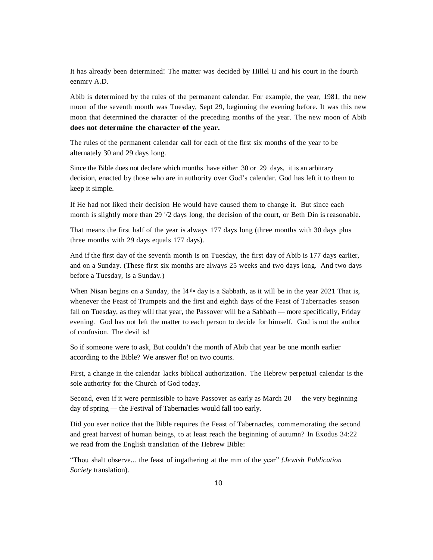It has already been determined! The matter was decided by Hillel II and his court in the fourth eenmry A.D.

Abib is determined by the rules of the permanent calendar. For example, the year, 1981, the new moon of the seventh month was Tuesday, Sept 29, beginning the evening before. It was this new moon that determined the character of the preceding months of the year. The new moon of Abib **does not determine the character of the year.**

The rules of the permanent calendar call for each of the first six months of the year to be alternately 30 and 29 days long.

Since the Bible does not declare which months have either 30 or 29 days, it is an arbitrary decision, enacted by those who are in authority over God's calendar. God has left it to them to keep it simple.

If He had not liked their decision He would have caused them to change it. But since each month is slightly more than 29  $\frac{1}{2}$  days long, the decision of the court, or Beth Din is reasonable.

That means the first half of the year is always 177 days long (three months with 30 days plus three months with 29 days equals 177 days).

And if the first day of the seventh month is on Tuesday, the first day of Abib is 177 days earlier, and on a Sunday. (These first six months are always 25 weeks and two days long. And two days before a Tuesday, is a Sunday.)

When Nisan begins on a Sunday, the  $14^{t}$  day is a Sabbath, as it will be in the year 2021 That is, whenever the Feast of Trumpets and the first and eighth days of the Feast of Tabernacles season fall on Tuesday, as they will that year, the Passover will be a Sabbath — more specifically, Friday evening. God has not left the matter to each person to decide for himself. God is not the author of confusion. The devil is!

So if someone were to ask, But couldn't the month of Abib that year be one month earlier according to the Bible? We answer flo! on two counts.

First, a change in the calendar lacks biblical authorization. The Hebrew perpetual calendar is the sole authority for the Church of God today.

Second, even if it were permissible to have Passover as early as March 20 — the very beginning day of spring — the Festival of Tabernacles would fall too early.

Did you ever notice that the Bible requires the Feast of Tabernacles, commemorating the second and great harvest of human beings, to at least reach the beginning of autumn? In Exodus 34:22 we read from the English translation of the Hebrew Bible:

"Thou shalt observe... the feast of ingathering at the mm of the year" *{Jewish Publication Society* translation).